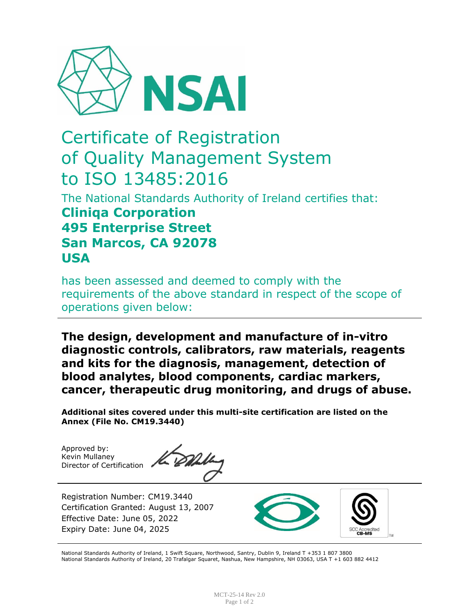

## Certificate of Registration of Quality Management System to ISO 13485:2016

The National Standards Authority of Ireland certifies that: **Cliniqa Corporation 495 Enterprise Street San Marcos, CA 92078 USA**

has been assessed and deemed to comply with the requirements of the above standard in respect of the scope of operations given below:

**The design, development and manufacture of in-vitro diagnostic controls, calibrators, raw materials, reagents and kits for the diagnosis, management, detection of blood analytes, blood components, cardiac markers, cancer, therapeutic drug monitoring, and drugs of abuse.**

**Additional sites covered under this multi-site certification are listed on the Annex (File No. CM19.3440)**

Approved by: Kevin Mullaney Director of Certification

Registration Number: CM19.3440 Certification Granted: August 13, 2007 Effective Date: June 05, 2022 Expiry Date: June 04, 2025



National Standards Authority of Ireland, 1 Swift Square, Northwood, Santry, Dublin 9, Ireland T +353 1 807 3800 National Standards Authority of Ireland, 20 Trafalgar Squaret, Nashua, New Hampshire, NH 03063, USA T +1 603 882 4412